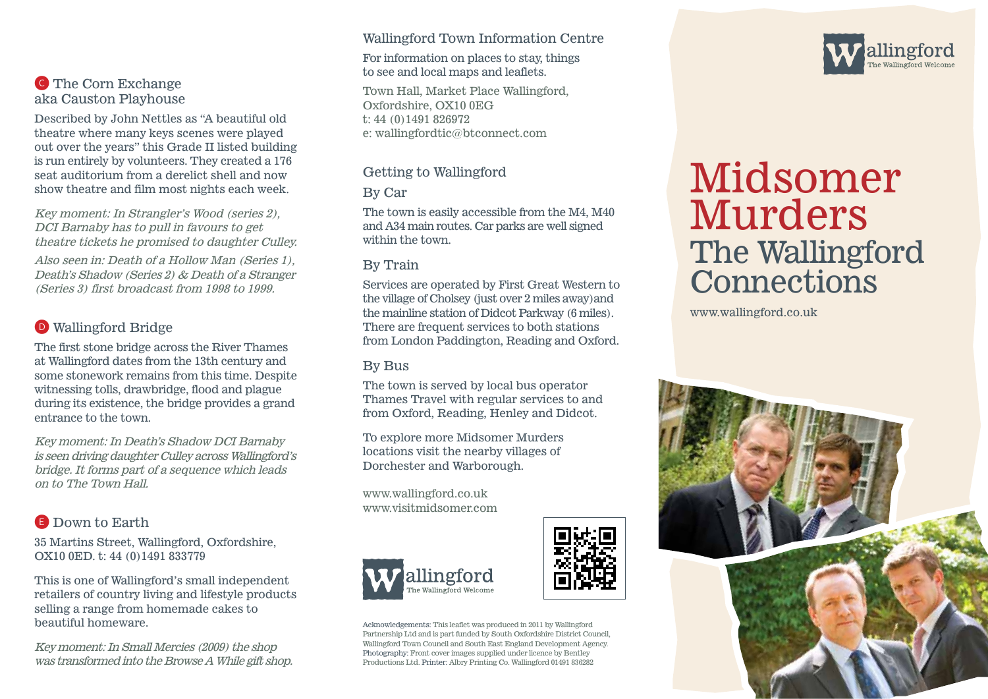

Described by John Nettles as "A beautiful old theatre where many keys scenes were played out over the years" this Grade II listed building is run entirely by volunteers. They created a 176 seat auditorium from a derelict shell and now show theatre and film most nights each week.

Key moment: In Strangler's Wood (series 2), DCI Barnaby has to pull in favours to get theatre tickets he promised to daughter Culley.

Also seen in: Death of a Hollow Man (Series 1), Death's Shadow (Series 2) & Death of a Stranger (Series 3) first broadcast from 1998 to 1999.

## D Wallingford Bridge

The first stone bridge across the River Thames at Wallingford dates from the 13th century and some stonework remains from this time. Despite witnessing tolls, drawbridge, flood and plague during its existence, the bridge provides a grand entrance to the town.

Key moment: In Death's Shadow DCI Barnaby is seen driving daughter Culley across Wallingford's bridge. It forms part of a sequence which leads on to The Town Hall.

### E Down to Earth

35 Martins Street, Wallingford, Oxfordshire, OX10 0ED. t: 44 (0)1491 833779

This is one of Wallingford's small independent retailers of country living and lifestyle products selling a range from homemade cakes to beautiful homeware.

Key moment: In Small Mercies (2009) the shop was transformed into the Browse A While gift shop.

#### Wallingford Town Information Centre

For information on places to stay, things to see and local maps and leaflets.

Town Hall, Market Place Wallingford, Oxfordshire, OX10 0EG t: 44 (0)1491 826972 e: wallingfordtic@btconnect.com

#### Getting to Wallingford

By Car

The town is easily accessible from the M4, M40 and A34 main routes. Car parks are well signed within the town.

#### By Train

Services are operated by First Great Western to the village of Cholsey (just over 2 miles away)and the mainline station of Didcot Parkway (6 miles). There are frequent services to both stations from London Paddington, Reading and Oxford.

#### By Bus

The town is served by local bus operator Thames Travel with regular services to and from Oxford, Reading, Henley and Didcot.

To explore more Midsomer Murders locations visit the nearby villages of Dorchester and Warborough.

www.wallingford.co.uk www.visitmidsomer.com







# Midsomer Murders The Wallingford **Connections**

www.wallingford.co.uk